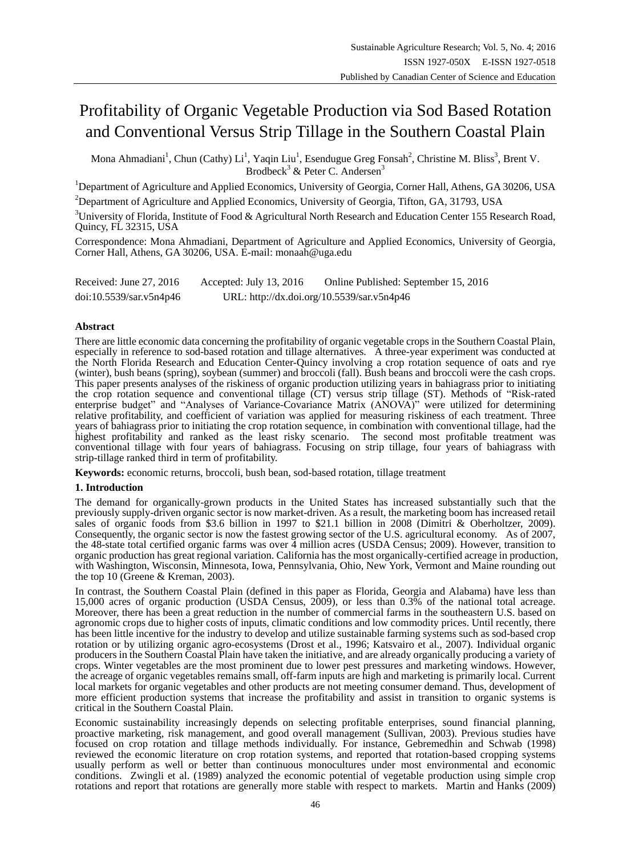# Profitability of Organic Vegetable Production via Sod Based Rotation and Conventional Versus Strip Tillage in the Southern Coastal Plain

Mona Ahmadiani<sup>1</sup>, Chun (Cathy) Li<sup>1</sup>, Yaqin Liu<sup>1</sup>, Esendugue Greg Fonsah<sup>2</sup>, Christine M. Bliss<sup>3</sup>, Brent V. Brodbeck<sup>3</sup> & Peter C. Andersen<sup>3</sup>

<sup>1</sup>Department of Agriculture and Applied Economics, University of Georgia, Corner Hall, Athens, GA 30206, USA <sup>2</sup>Department of Agriculture and Applied Economics, University of Georgia, Tifton, GA, 31793, USA

 $3$ University of Florida, Institute of Food & Agricultural North Research and Education Center 155 Research Road, Quincy, FL 32315, USA

Correspondence: Mona Ahmadiani, Department of Agriculture and Applied Economics, University of Georgia, Corner Hall, Athens, GA 30206, USA. E-mail: monaah@uga.edu

Received: June 27, 2016 Accepted: July 13, 2016 Online Published: September 15, 2016 doi:10.5539/sar.v5n4p46 URL: http://dx.doi.org/10.5539/sar.v5n4p46

# **Abstract**

There are little economic data concerning the profitability of organic vegetable crops in the Southern Coastal Plain, especially in reference to sod-based rotation and tillage alternatives. A three-year experiment was conducted at the North Florida Research and Education Center-Quincy involving a crop rotation sequence of oats and rye (winter), bush beans (spring), soybean (summer) and broccoli (fall). Bush beans and broccoli were the cash crops. This paper presents analyses of the riskiness of organic production utilizing years in bahiagrass prior to initiating the crop rotation sequence and conventional tillage (CT) versus strip tillage (ST). Methods of "Risk-rated enterprise budget" and "Analyses of Variance-Covariance Matrix (ANOVA)" were utilized for determining relative profitability, and coefficient of variation was applied for measuring riskiness of each treatment. Three years of bahiagrass prior to initiating the crop rotation sequence, in combination with conventional tillage, had the highest profitability and ranked as the least risky scenario. The second most profitable treatment was conventional tillage with four years of bahiagrass. Focusing on strip tillage, four years of bahiagrass with strip-tillage ranked third in term of profitability.

**Keywords:** economic returns, broccoli, bush bean, sod-based rotation, tillage treatment

### **1. Introduction**

The demand for organically-grown products in the United States has increased substantially such that the previously supply-driven organic sector is now market-driven. As a result, the marketing boom has increased retail sales of organic foods from \$3.6 billion in 1997 to \$21.1 billion in 2008 (Dimitri & Oberholtzer, 2009). Consequently, the organic sector is now the fastest growing sector of the U.S. agricultural economy. As of 2007, the 48-state total certified organic farms was over 4 million acres (USDA Census; 2009). However, transition to organic production has great regional variation. California has the most organically-certified acreage in production, with Washington, Wisconsin, Minnesota, Iowa, Pennsylvania, Ohio, New York, Vermont and Maine rounding out the top 10 (Greene & Kreman, 2003).

In contrast, the Southern Coastal Plain (defined in this paper as Florida, Georgia and Alabama) have less than 15,000 acres of organic production (USDA Census, 2009), or less than 0.3% of the national total acreage. Moreover, there has been a great reduction in the number of commercial farms in the southeastern U.S. based on agronomic crops due to higher costs of inputs, climatic conditions and low commodity prices. Until recently, there has been little incentive for the industry to develop and utilize sustainable farming systems such as sod-based crop rotation or by utilizing organic agro-ecosystems (Drost et al., 1996; Katsvairo et al., 2007). Individual organic producers in the Southern Coastal Plain have taken the initiative, and are already organically producing a variety of crops. Winter vegetables are the most prominent due to lower pest pressures and marketing windows. However, the acreage of organic vegetables remains small, off-farm inputs are high and marketing is primarily local. Current local markets for organic vegetables and other products are not meeting consumer demand. Thus, development of more efficient production systems that increase the profitability and assist in transition to organic systems is critical in the Southern Coastal Plain.

Economic sustainability increasingly depends on selecting profitable enterprises, sound financial planning, proactive marketing, risk management, and good overall management (Sullivan, 2003). Previous studies have focused on crop rotation and tillage methods individually. For instance, Gebremedhin and Schwab (1998) reviewed the economic literature on crop rotation systems, and reported that rotation-based cropping systems usually perform as well or better than continuous monocultures under most environmental and economic conditions. Zwingli et al. (1989) analyzed the economic potential of vegetable production using simple crop rotations and report that rotations are generally more stable with respect to markets. Martin and Hanks (2009)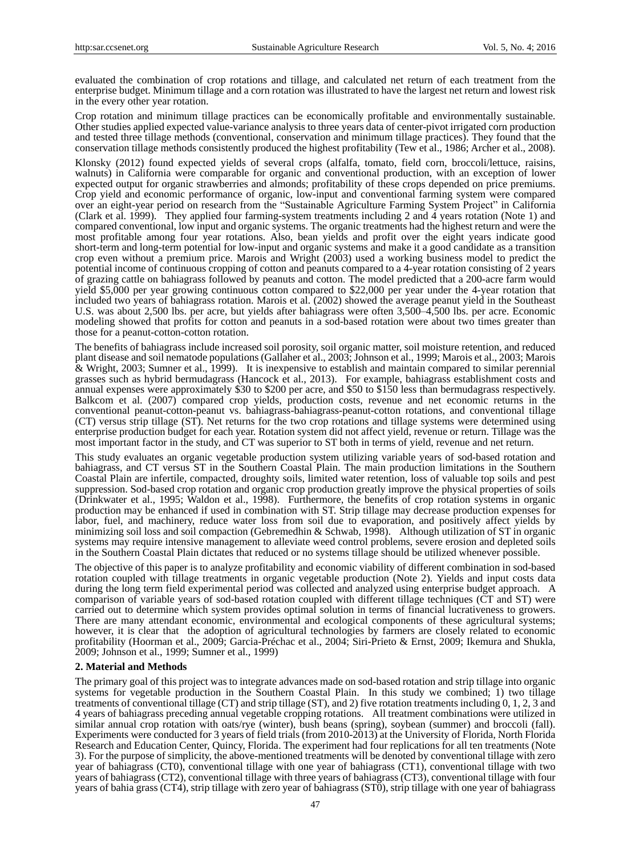evaluated the combination of crop rotations and tillage, and calculated net return of each treatment from the enterprise budget. Minimum tillage and a corn rotation was illustrated to have the largest net return and lowest risk in the every other year rotation.

Crop rotation and minimum tillage practices can be economically profitable and environmentally sustainable. Other studies applied expected value-variance analysis to three years data of center-pivot irrigated corn production and tested three tillage methods (conventional, conservation and minimum tillage practices). They found that the conservation tillage methods consistently produced the highest profitability (Tew et al., 1986; Archer et al., 2008).

Klonsky (2012) found expected yields of several crops (alfalfa, tomato, field corn, broccoli/lettuce, raisins, walnuts) in California were comparable for organic and conventional production, with an exception of lower expected output for organic strawberries and almonds; profitability of these crops depended on price premiums. Crop yield and economic performance of organic, low-input and conventional farming system were compared over an eight-year period on research from the "Sustainable Agriculture Farming System Project" in California (Clark et al. 1999). They applied four farming-system treatments including 2 and 4 years rotation (Note 1) and compared conventional, low input and organic systems. The organic treatments had the highest return and were the most profitable among four year rotations. Also, bean yields and profit over the eight years indicate good short-term and long-term potential for low-input and organic systems and make it a good candidate as a transition crop even without a premium price. Marois and Wright (2003) used a working business model to predict the potential income of continuous cropping of cotton and peanuts compared to a 4-year rotation consisting of 2 years of grazing cattle on bahiagrass followed by peanuts and cotton. The model predicted that a 200-acre farm would yield \$5,000 per year growing continuous cotton compared to \$22,000 per year under the 4-year rotation that included two years of bahiagrass rotation. Marois et al. (2002) showed the average peanut yield in the Southeast U.S. was about 2,500 lbs. per acre, but yields after bahiagrass were often 3,500–4,500 lbs. per acre. Economic modeling showed that profits for cotton and peanuts in a sod-based rotation were about two times greater than those for a peanut-cotton-cotton rotation.

The benefits of bahiagrass include increased soil porosity, soil organic matter, soil moisture retention, and reduced plant disease and soil nematode populations(Gallaher et al., 2003; Johnson et al., 1999; Marois et al., 2003; Marois & Wright, 2003; Sumner et al., 1999). It is inexpensive to establish and maintain compared to similar perennial grasses such as hybrid bermudagrass (Hancock et al., 2013). For example, bahiagrass establishment costs and annual expenses were approximately \$30 to \$200 per acre, and \$50 to \$150 less than bermudagrass respectively. Balkcom et al. (2007) compared crop yields, production costs, revenue and net economic returns in the conventional peanut-cotton-peanut vs. bahiagrass-bahiagrass-peanut-cotton rotations, and conventional tillage (CT) versus strip tillage (ST). Net returns for the two crop rotations and tillage systems were determined using enterprise production budget for each year. Rotation system did not affect yield, revenue or return. Tillage was the most important factor in the study, and CT was superior to ST both in terms of yield, revenue and net return.

This study evaluates an organic vegetable production system utilizing variable years of sod-based rotation and bahiagrass, and CT versus ST in the Southern Coastal Plain. The main production limitations in the Southern Coastal Plain are infertile, compacted, droughty soils, limited water retention, loss of valuable top soils and pest suppression. Sod-based crop rotation and organic crop production greatly improve the physical properties of soils (Drinkwater et al., 1995; Waldon et al., 1998). Furthermore, the benefits of crop rotation systems in organic production may be enhanced if used in combination with ST. Strip tillage may decrease production expenses for labor, fuel, and machinery, reduce water loss from soil due to evaporation, and positively affect yields by minimizing soil loss and soil compaction (Gebremedhin & Schwab, 1998). Although utilization of ST in organic systems may require intensive management to alleviate weed control problems, severe erosion and depleted soils in the Southern Coastal Plain dictates that reduced or no systems tillage should be utilized whenever possible.

The objective of this paper is to analyze profitability and economic viability of different combination in sod-based rotation coupled with tillage treatments in organic vegetable production (Note 2). Yields and input costs data during the long term field experimental period was collected and analyzed using enterprise budget approach. A comparison of variable years of sod-based rotation coupled with different tillage techniques (CT and ST) were carried out to determine which system provides optimal solution in terms of financial lucrativeness to growers. There are many attendant economic, environmental and ecological components of these agricultural systems; however, it is clear that the adoption of agricultural technologies by farmers are closely related to economic profitability (Hoorman et al., 2009; Garcia-Préchac et al., 2004; Siri-Prieto & Ernst, 2009; Ikemura and Shukla, 2009; Johnson et al., 1999; Sumner et al., 1999)

#### **2. Material and Methods**

The primary goal of this project was to integrate advances made on sod-based rotation and strip tillage into organic systems for vegetable production in the Southern Coastal Plain. In this study we combined; 1) two tillage treatments of conventional tillage (CT) and strip tillage (ST), and 2) five rotation treatments including 0, 1, 2, 3 and 4 years of bahiagrass preceding annual vegetable cropping rotations. All treatment combinations were utilized in similar annual crop rotation with oats/rye (winter), bush beans (spring), soybean (summer) and broccoli (fall). Experiments were conducted for 3 years of field trials (from 2010-2013) at the University of Florida, North Florida Research and Education Center, Quincy, Florida. The experiment had four replications for all ten treatments (Note 3). For the purpose of simplicity, the above-mentioned treatments will be denoted by conventional tillage with zero year of bahiagrass (CT0), conventional tillage with one year of bahiagrass (CT1), conventional tillage with two years of bahiagrass (CT2), conventional tillage with three years of bahiagrass (CT3), conventional tillage with four years of bahia grass (CT4), strip tillage with zero year of bahiagrass (ST0), strip tillage with one year of bahiagrass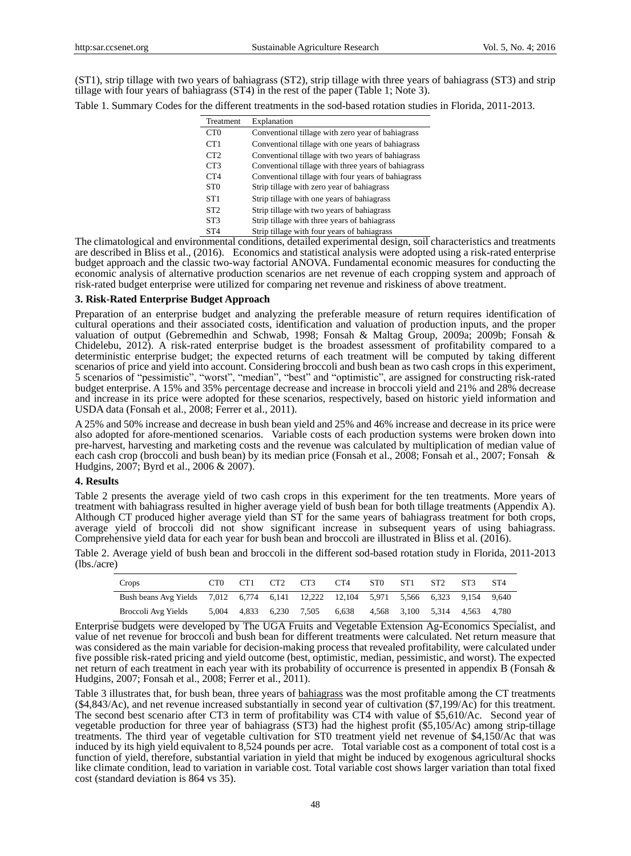(ST1), strip tillage with two years of bahiagrass (ST2), strip tillage with three years of bahiagrass (ST3) and strip tillage with four years of bahiagrass (ST4) in the rest of the paper (Table 1; Note 3).

Table 1. Summary Codes for the different treatments in the sod-based rotation studies in Florida, 2011-2013.

| Treatment       | Explanation                                         |
|-----------------|-----------------------------------------------------|
| CT <sub>0</sub> | Conventional tillage with zero year of bahiagrass   |
| CT1             | Conventional tillage with one years of bahiagrass   |
| CT2             | Conventional tillage with two years of bahiagrass   |
| CT3             | Conventional tillage with three years of bahiagrass |
| CT4             | Conventional tillage with four years of bahiagrass  |
| ST <sub>0</sub> | Strip tillage with zero year of bahiagrass          |
| ST1             | Strip tillage with one years of bahiagrass          |
| ST <sub>2</sub> | Strip tillage with two years of bahiagrass          |
| ST <sub>3</sub> | Strip tillage with three years of bahiagrass        |
| ST <sub>4</sub> | Strip tillage with four years of bahiagrass         |

The climatological and environmental conditions, detailed experimental design, soil characteristics and treatments are described in Bliss et al., (2016). Economics and statistical analysis were adopted using a risk-rated enterprise budget approach and the classic two-way factorial ANOVA. Fundamental economic measures for conducting the economic analysis of alternative production scenarios are net revenue of each cropping system and approach of risk-rated budget enterprise were utilized for comparing net revenue and riskiness of above treatment.

#### **3. Risk-Rated Enterprise Budget Approach**

Preparation of an enterprise budget and analyzing the preferable measure of return requires identification of cultural operations and their associated costs, identification and valuation of production inputs, and the proper valuation of output (Gebremedhin and Schwab, 1998; Fonsah & Maltag Group, 2009a; 2009b; Fonsah & Chidelebu, 2012). A risk-rated enterprise budget is the broadest assessment of profitability compared to a deterministic enterprise budget; the expected returns of each treatment will be computed by taking different scenarios of price and yield into account. Considering broccoli and bush bean as two cash crops in this experiment, 5 scenarios of "pessimistic", "worst", "median", "best" and "optimistic", are assigned for constructing risk-rated budget enterprise. A 15% and 35% percentage decrease and increase in broccoli yield and 21% and 28% decrease and increase in its price were adopted for these scenarios, respectively, based on historic yield information and USDA data (Fonsah et al., 2008; Ferrer et al., 2011).

A 25% and 50% increase and decrease in bush bean yield and 25% and 46% increase and decrease in its price were also adopted for afore-mentioned scenarios. Variable costs of each production systems were broken down into pre-harvest, harvesting and marketing costs and the revenue was calculated by multiplication of median value of each cash crop (broccoli and bush bean) by its median price (Fonsah et al., 2008; Fonsah et al., 2007; Fonsah & Hudgins, 2007; Byrd et al., 2006 & 2007).

#### **4. Results**

Table 2 presents the average yield of two cash crops in this experiment for the ten treatments. More years of treatment with bahiagrass resulted in higher average yield of bush bean for both tillage treatments (Appendix A). Although CT produced higher average yield than ST for the same years of bahiagrass treatment for both crops, average yield of broccoli did not show significant increase in subsequent years of using bahiagrass. Comprehensive yield data for each year for bush bean and broccoli are illustrated in Bliss et al. (2016).

Table 2. Average yield of bush bean and broccoli in the different sod-based rotation study in Florida, 2011-2013 (lbs./acre)

| Crops                                                                         | CT0   | CT1. | CT <sub>2</sub> | CT3   | CT4   | STO. | ST <sub>1</sub> | ST <sub>2</sub>   | ST <sub>3</sub> | ST <sub>4</sub> |
|-------------------------------------------------------------------------------|-------|------|-----------------|-------|-------|------|-----------------|-------------------|-----------------|-----------------|
| Bush beans Avg Yields 7,012 6,774 6,141 12,222 12,104 5,971 5,566 6,323 9,154 |       |      |                 |       |       |      |                 |                   |                 | 9.640           |
| Broccoli Avg Yields                                                           | 5.004 |      | 4.833 6.230     | 7.505 | 6.638 |      | 4.568 3.100     | 5.314 4.563 4.780 |                 |                 |

Enterprise budgets were developed by The UGA Fruits and Vegetable Extension Ag-Economics Specialist, and value of net revenue for broccoli and bush bean for different treatments were calculated. Net return measure that was considered as the main variable for decision-making process that revealed profitability, were calculated under five possible risk-rated pricing and yield outcome (best, optimistic, median, pessimistic, and worst). The expected net return of each treatment in each year with its probability of occurrence is presented in appendix B (Fonsah & Hudgins, 2007; Fonsah et al., 2008; Ferrer et al., 2011).

Table 3 illustrates that, for bush bean, three years of bahiagrass was the most profitable among the CT treatments (\$4,843/Ac), and net revenue increased substantially in second year of cultivation (\$7,199/Ac) for this treatment. The second best scenario after CT3 in term of profitability was CT4 with value of \$5,610/Ac. Second year of vegetable production for three year of bahiagrass (ST3) had the highest profit (\$5,105/Ac) among strip-tillage treatments. The third year of vegetable cultivation for ST0 treatment yield net revenue of \$4,150/Ac that was induced by its high yield equivalent to 8,524 pounds per acre. Total variable cost as a component of total cost is a function of yield, therefore, substantial variation in yield that might be induced by exogenous agricultural shocks like climate condition, lead to variation in variable cost. Total variable cost shows larger variation than total fixed cost (standard deviation is 864 vs 35).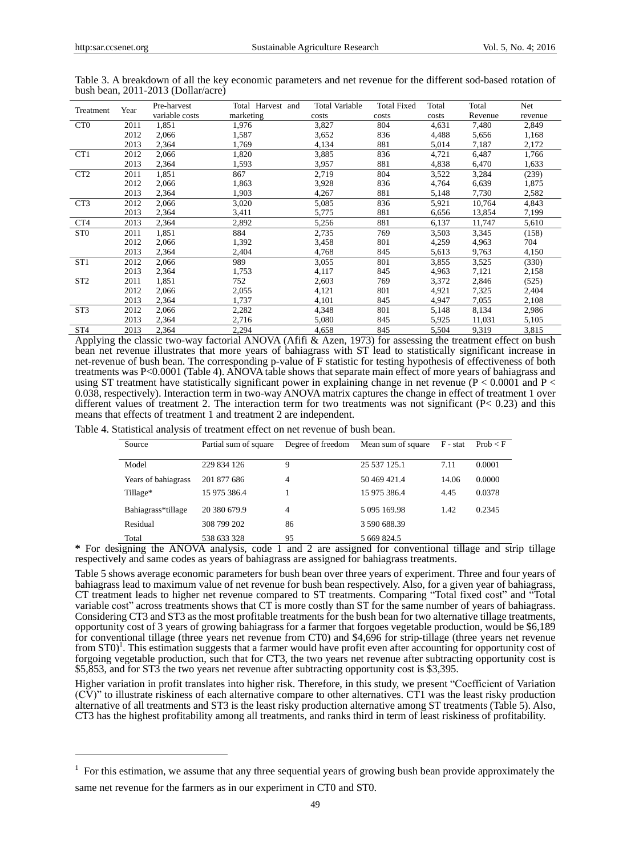-

|                 |      | Pre-harvest    | Total Harvest and | <b>Total Variable</b> | <b>Total Fixed</b> | Total | Total   | Net     |
|-----------------|------|----------------|-------------------|-----------------------|--------------------|-------|---------|---------|
| Treatment       | Year | variable costs | marketing         | costs                 | costs              | costs | Revenue | revenue |
| CT <sub>0</sub> | 2011 | 1,851          | 1,976             | 3,827                 | 804                | 4,631 | 7,480   | 2,849   |
|                 | 2012 | 2,066          | 1,587             | 3,652                 | 836                | 4,488 | 5,656   | 1,168   |
|                 | 2013 | 2,364          | 1,769             | 4,134                 | 881                | 5,014 | 7,187   | 2,172   |
| CT1             | 2012 | 2,066          | 1,820             | 3,885                 | 836                | 4,721 | 6,487   | 1,766   |
|                 | 2013 | 2,364          | 1,593             | 3,957                 | 881                | 4,838 | 6,470   | 1,633   |
| CT <sub>2</sub> | 2011 | 1,851          | 867               | 2,719                 | 804                | 3,522 | 3,284   | (239)   |
|                 | 2012 | 2,066          | 1,863             | 3,928                 | 836                | 4,764 | 6,639   | 1,875   |
|                 | 2013 | 2,364          | 1,903             | 4,267                 | 881                | 5,148 | 7,730   | 2,582   |
| CT <sub>3</sub> | 2012 | 2,066          | 3,020             | 5,085                 | 836                | 5,921 | 10,764  | 4,843   |
|                 | 2013 | 2,364          | 3,411             | 5,775                 | 881                | 6,656 | 13,854  | 7,199   |
| CT4             | 2013 | 2,364          | 2,892             | 5,256                 | 881                | 6,137 | 11,747  | 5,610   |
| ST <sub>0</sub> | 2011 | 1,851          | 884               | 2,735                 | 769                | 3,503 | 3,345   | (158)   |
|                 | 2012 | 2,066          | 1,392             | 3,458                 | 801                | 4,259 | 4,963   | 704     |
|                 | 2013 | 2,364          | 2,404             | 4,768                 | 845                | 5,613 | 9,763   | 4,150   |
| ST <sub>1</sub> | 2012 | 2,066          | 989               | 3,055                 | 801                | 3,855 | 3,525   | (330)   |
|                 | 2013 | 2,364          | 1,753             | 4,117                 | 845                | 4,963 | 7,121   | 2,158   |
| ST <sub>2</sub> | 2011 | 1,851          | 752               | 2,603                 | 769                | 3,372 | 2,846   | (525)   |
|                 | 2012 | 2,066          | 2,055             | 4,121                 | 801                | 4,921 | 7,325   | 2,404   |
|                 | 2013 | 2,364          | 1,737             | 4,101                 | 845                | 4,947 | 7,055   | 2,108   |
| ST <sub>3</sub> | 2012 | 2,066          | 2,282             | 4,348                 | 801                | 5,148 | 8,134   | 2,986   |
|                 | 2013 | 2,364          | 2,716             | 5,080                 | 845                | 5,925 | 11,031  | 5,105   |
| ST <sub>4</sub> | 2013 | 2,364          | 2,294             | 4,658                 | 845                | 5,504 | 9,319   | 3,815   |

Table 3. A breakdown of all the key economic parameters and net revenue for the different sod-based rotation of bush bean, 2011-2013 (Dollar/acre)

Applying the classic two-way factorial ANOVA (Afifi & Azen, 1973) for assessing the treatment effect on bush bean net revenue illustrates that more years of bahiagrass with ST lead to statistically significant increase in net-revenue of bush bean. The corresponding p-value of F statistic for testing hypothesis of effectiveness of both treatments was P<0.0001 (Table 4). ANOVA table shows that separate main effect of more years of bahiagrass and using ST treatment have statistically significant power in explaining change in net revenue ( $P < 0.0001$  and  $P <$ 0.038, respectively). Interaction term in two-way ANOVA matrix captures the change in effect of treatment 1 over different values of treatment 2. The interaction term for two treatments was not significant (P< 0.23) and this means that effects of treatment 1 and treatment 2 are independent.

Table 4. Statistical analysis of treatment effect on net revenue of bush bean.

| Source              | Partial sum of square | Degree of freedom | Mean sum of square | F - stat | Prob < F |
|---------------------|-----------------------|-------------------|--------------------|----------|----------|
|                     |                       |                   |                    |          |          |
| Model               | 229 834 126           | 9                 | 25 537 125.1       | 7.11     | 0.0001   |
| Years of bahiagrass | 201 877 686           | $\overline{4}$    | 50 469 421.4       | 14.06    | 0.0000   |
| Tillage*            | 15 975 386.4          |                   | 15 975 386.4       | 4.45     | 0.0378   |
| Bahiagrass*tillage  | 20 380 679.9          | 4                 | 5 095 169.98       | 1.42     | 0.2345   |
| Residual            | 308 799 202           | 86                | 3 590 688.39       |          |          |
| Total               | 538 633 328           | 95                | 5 669 824.5        |          |          |

**\*** For designing the ANOVA analysis, code 1 and 2 are assigned for conventional tillage and strip tillage respectively and same codes as years of bahiagrass are assigned for bahiagrass treatments.

Table 5 shows average economic parameters for bush bean over three years of experiment. Three and four years of bahiagrass lead to maximum value of net revenue for bush bean respectively. Also, for a given year of bahiagrass, CT treatment leads to higher net revenue compared to ST treatments. Comparing "Total fixed cost" and "Total variable cost" across treatments shows that CT is more costly than ST for the same number of years of bahiagrass. Considering CT3 and ST3 as the most profitable treatments for the bush bean for two alternative tillage treatments, opportunity cost of 3 years of growing bahiagrass for a farmer that forgoes vegetable production, would be \$6,189 for conventional tillage (three years net revenue from CT0) and \$4,696 for strip-tillage (three years net revenue from ST0)<sup>1</sup>. This estimation suggests that a farmer would have profit even after accounting for opportunity cost of forgoing vegetable production, such that for CT3, the two years net revenue after subtracting opportunity cost is \$5,853, and for ST3 the two years net revenue after subtracting opportunity cost is \$3,395.

Higher variation in profit translates into higher risk. Therefore, in this study, we present "Coefficient of Variation  $(CV)$ " to illustrate riskiness of each alternative compare to other alternatives.  $C\hat{T}$ 1 was the least risky production alternative of all treatments and ST3 is the least risky production alternative among ST treatments (Table 5). Also, CT3 has the highest profitability among all treatments, and ranks third in term of least riskiness of profitability.

 $1$  For this estimation, we assume that any three sequential years of growing bush bean provide approximately the same net revenue for the farmers as in our experiment in CT0 and ST0.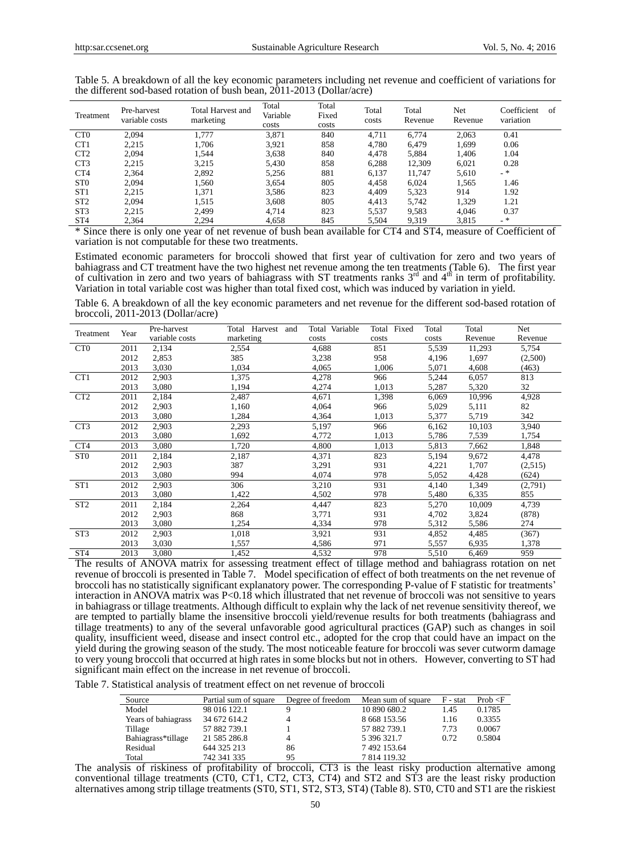| Treatment        | Pre-harvest<br>variable costs | Total Harvest and<br>marketing | Total<br>Variable<br>costs | Total<br>Fixed<br>costs | Total<br>costs | Total<br>Revenue | Net<br>Revenue | Coefficient<br>variation | of |
|------------------|-------------------------------|--------------------------------|----------------------------|-------------------------|----------------|------------------|----------------|--------------------------|----|
| C <sub>T</sub> O | 2.094                         | 1.777                          | 3,871                      | 840                     | 4,711          | 6.774            | 2,063          | 0.41                     |    |
| CT1              | 2,215                         | 1,706                          | 3,921                      | 858                     | 4,780          | 6.479            | 1,699          | 0.06                     |    |
| CT <sub>2</sub>  | 2.094                         | 1,544                          | 3,638                      | 840                     | 4.478          | 5,884            | 1,406          | 1.04                     |    |
| CT <sub>3</sub>  | 2.215                         | 3.215                          | 5,430                      | 858                     | 6,288          | 12,309           | 6,021          | 0.28                     |    |
| CT4              | 2.364                         | 2,892                          | 5,256                      | 881                     | 6,137          | 11.747           | 5,610          | - *                      |    |
| ST <sub>0</sub>  | 2.094                         | 1.560                          | 3,654                      | 805                     | 4.458          | 6.024            | 1,565          | 1.46                     |    |
| ST1              | 2.215                         | 1,371                          | 3,586                      | 823                     | 4.409          | 5,323            | 914            | 1.92                     |    |
| ST <sub>2</sub>  | 2.094                         | 1.515                          | 3,608                      | 805                     | 4.413          | 5.742            | 1.329          | 1.21                     |    |
| ST <sub>3</sub>  | 2,215                         | 2.499                          | 4.714                      | 823                     | 5,537          | 9,583            | 4,046          | 0.37                     |    |
| ST <sub>4</sub>  | 2.364                         | 2,294                          | 4,658                      | 845                     | 5,504          | 9,319            | 3,815          | - *                      |    |

Table 5. A breakdown of all the key economic parameters including net revenue and coefficient of variations for the different sod-based rotation of bush bean, 2011-2013 (Dollar/acre)

\* Since there is only one year of net revenue of bush bean available for CT4 and ST4, measure of Coefficient of variation is not computable for these two treatments.

Estimated economic parameters for broccoli showed that first year of cultivation for zero and two years of bahiagrass and CT treatment have the two highest net revenue among the ten treatments (Table 6). The first year of cultivation in zero and two years of bahiagrass with ST treatments ranks  $3<sup>rd</sup>$  and  $4<sup>th</sup>$  in term of profitability. Variation in total variable cost was higher than total fixed cost, which was induced by variation in yield.

Table 6. A breakdown of all the key economic parameters and net revenue for the different sod-based rotation of broccoli, 2011-2013 (Dollar/acre)

| Treatment       | Year | Pre-harvest    | Total Harvest<br>and | Total Variable | Total Fixed | Total | Total   | Net     |
|-----------------|------|----------------|----------------------|----------------|-------------|-------|---------|---------|
|                 |      | variable costs | marketing            | costs          | costs       | costs | Revenue | Revenue |
| CT <sub>0</sub> | 2011 | 2,134          | 2,554                | 4,688          | 851         | 5,539 | 11,293  | 5,754   |
|                 | 2012 | 2,853          | 385                  | 3,238          | 958         | 4,196 | 1,697   | (2,500) |
|                 | 2013 | 3,030          | 1,034                | 4,065          | 1,006       | 5,071 | 4,608   | (463)   |
| CT1             | 2012 | 2,903          | 1,375                | 4,278          | 966         | 5,244 | 6,057   | 813     |
|                 | 2013 | 3,080          | 1,194                | 4,274          | 1,013       | 5,287 | 5,320   | 32      |
| CT <sub>2</sub> | 2011 | 2,184          | 2,487                | 4,671          | 1,398       | 6,069 | 10,996  | 4,928   |
|                 | 2012 | 2,903          | 1,160                | 4,064          | 966         | 5,029 | 5,111   | 82      |
|                 | 2013 | 3,080          | 1,284                | 4,364          | 1,013       | 5,377 | 5,719   | 342     |
| CT <sub>3</sub> | 2012 | 2,903          | 2,293                | 5,197          | 966         | 6,162 | 10,103  | 3,940   |
|                 | 2013 | 3,080          | 1,692                | 4,772          | 1,013       | 5,786 | 7,539   | 1,754   |
| CT4             | 2013 | 3,080          | 1,720                | 4,800          | 1,013       | 5,813 | 7,662   | 1,848   |
| ST <sub>0</sub> | 2011 | 2,184          | 2,187                | 4,371          | 823         | 5,194 | 9,672   | 4,478   |
|                 | 2012 | 2,903          | 387                  | 3,291          | 931         | 4,221 | 1,707   | (2,515) |
|                 | 2013 | 3,080          | 994                  | 4,074          | 978         | 5,052 | 4,428   | (624)   |
| ST <sub>1</sub> | 2012 | 2,903          | 306                  | 3,210          | 931         | 4,140 | 1,349   | (2,791) |
|                 | 2013 | 3,080          | 1,422                | 4,502          | 978         | 5,480 | 6,335   | 855     |
| ST <sub>2</sub> | 2011 | 2,184          | 2,264                | 4,447          | 823         | 5,270 | 10,009  | 4,739   |
|                 | 2012 | 2,903          | 868                  | 3,771          | 931         | 4,702 | 3,824   | (878)   |
|                 | 2013 | 3,080          | 1,254                | 4,334          | 978         | 5,312 | 5,586   | 274     |
| ST <sub>3</sub> | 2012 | 2,903          | 1,018                | 3,921          | 931         | 4,852 | 4,485   | (367)   |
|                 | 2013 | 3,030          | 1,557                | 4,586          | 971         | 5,557 | 6,935   | 1,378   |
| ST <sub>4</sub> | 2013 | 3,080          | 1,452                | 4,532          | 978         | 5,510 | 6,469   | 959     |

The results of ANOVA matrix for assessing treatment effect of tillage method and bahiagrass rotation on net revenue of broccoli is presented in Table 7. Model specification of effect of both treatments on the net revenue of broccoli has no statistically significant explanatory power. The corresponding P-value of F statistic for treatments' interaction in ANOVA matrix was P<0.18 which illustrated that net revenue of broccoli was not sensitive to years in bahiagrass or tillage treatments. Although difficult to explain why the lack of net revenue sensitivity thereof, we are tempted to partially blame the insensitive broccoli yield/revenue results for both treatments (bahiagrass and tillage treatments) to any of the several unfavorable good agricultural practices (GAP) such as changes in soil quality, insufficient weed, disease and insect control etc., adopted for the crop that could have an impact on the yield during the growing season of the study. The most noticeable feature for broccoli was sever cutworm damage to very young broccoli that occurred at high rates in some blocks but not in others. However, converting to ST had significant main effect on the increase in net revenue of broccoli.

Table 7. Statistical analysis of treatment effect on net revenue of broccoli

| Source              | Partial sum of square | Degree of freedom | Mean sum of square  | F - stat | Prob < F |
|---------------------|-----------------------|-------------------|---------------------|----------|----------|
| Model               | 98 016 122.1          |                   | 10 890 680.2        | 1.45     | 0.1785   |
| Years of bahiagrass | 34 672 614.2          | 4                 | 8 6 6 8 1 5 3 . 5 6 | 1.16     | 0.3355   |
| Tillage             | 57 882 739.1          |                   | 57 882 739.1        | 7.73     | 0.0067   |
| Bahiagrass*tillage  | 21 585 286.8          |                   | 5 396 321.7         | 0.72     | 0.5804   |
| Residual            | 644 325 213           | 86                | 7492153.64          |          |          |
| Total               | 742 341 335           | 95                | 7 814 119.32        |          |          |

The analysis of riskiness of profitability of broccoli, CT3 is the least risky production alternative among conventional tillage treatments (CT0, CT1, CT2, CT3, CT4) and ST2 and ST3 are the least risky production alternatives among strip tillage treatments (ST0, ST1, ST2, ST3, ST4) (Table 8). ST0, CT0 and ST1 are the riskiest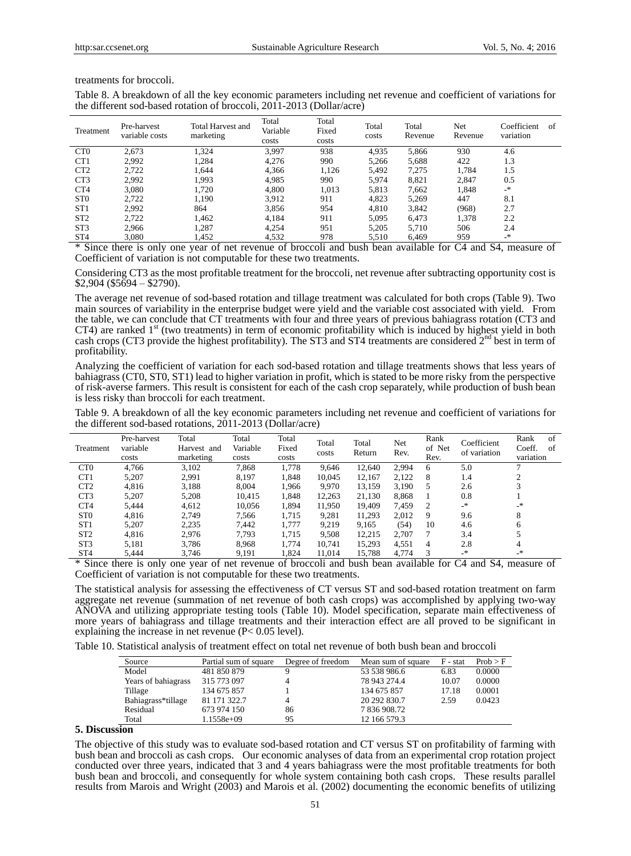#### treatments for broccoli.

| Table 8. A breakdown of all the key economic parameters including net revenue and coefficient of variations for |  |  |  |
|-----------------------------------------------------------------------------------------------------------------|--|--|--|
| the different sod-based rotation of broccoli, 2011-2013 (Dollar/acre)                                           |  |  |  |

| Treatment                 | Pre-harvest<br>variable costs | Total Harvest and<br>marketing | Total<br>Variable<br>costs | Total<br>Fixed<br>costs | Total<br>costs | Total<br>Revenue      | Net<br>Revenue | Coefficient<br>variation | of |
|---------------------------|-------------------------------|--------------------------------|----------------------------|-------------------------|----------------|-----------------------|----------------|--------------------------|----|
| C <sub>T</sub> O          | 2.673                         | 1.324                          | 3,997                      | 938                     | 4,935          | 5,866                 | 930            | 4.6                      |    |
| CT1                       | 2.992                         | 1.284                          | 4,276                      | 990                     | 5,266          | 5,688                 | 422            | 1.3                      |    |
| CT <sub>2</sub>           | 2,722                         | 1.644                          | 4,366                      | 1.126                   | 5,492          | 7,275                 | 1.784          | 1.5                      |    |
| CT <sub>3</sub>           | 2.992                         | 1,993                          | 4,985                      | 990                     | 5,974          | 8,821                 | 2,847          | 0.5                      |    |
| CT <sub>4</sub>           | 3.080                         | 1.720                          | 4,800                      | 1.013                   | 5,813          | 7,662                 | 1,848          | _*                       |    |
| ST <sub>0</sub>           | 2,722                         | 1.190                          | 3,912                      | 911                     | 4,823          | 5,269                 | 447            | 8.1                      |    |
| ST1                       | 2.992                         | 864                            | 3,856                      | 954                     | 4,810          | 3,842                 | (968)          | 2.7                      |    |
| ST <sub>2</sub>           | 2.722                         | 1,462                          | 4,184                      | 911                     | 5,095          | 6.473                 | 1,378          | 2.2                      |    |
| ST <sub>3</sub>           | 2.966                         | 1.287                          | 4,254                      | 951                     | 5,205          | 5.710                 | 506            | 2.4                      |    |
| ST <sub>4</sub>           | 3,080                         | 1,452                          | 4,532                      | 978                     | 5,510          | 6.469                 | 959            | _*                       |    |
| $\mathbf{a}$ $\mathbf{a}$ | $\cdot$ 1.                    |                                | $\sim$ 1                   | $\cdot$<br>1.1          | $1 \quad 1$    | 21.11<br>$\mathbf{r}$ | $\sim$         | $1 \cap 4$               |    |

\* Since there is only one year of net revenue of broccoli and bush bean available for C4 and S4, measure of Coefficient of variation is not computable for these two treatments.

Considering CT3 as the most profitable treatment for the broccoli, net revenue after subtracting opportunity cost is  $$2,904$  ( $$5694 - $2790$ ).

The average net revenue of sod-based rotation and tillage treatment was calculated for both crops (Table 9). Two main sources of variability in the enterprise budget were yield and the variable cost associated with yield. From the table, we can conclude that CT treatments with four and three years of previous bahiagrass rotation (CT3 and CT4) are ranked 1<sup>st</sup> (two treatments) in term of economic profitability which is induced by highest yield in both cash crops (CT3 provide the highest profitability). The ST3 and ST4 treatments are considered  $2^{nd}$  best in term of profitability.

Analyzing the coefficient of variation for each sod-based rotation and tillage treatments shows that less years of bahiagrass (CT0, ST0, ST1) lead to higher variation in profit, which is stated to be more risky from the perspective of risk-averse farmers. This result is consistent for each of the cash crop separately, while production of bush bean is less risky than broccoli for each treatment.

Table 9. A breakdown of all the key economic parameters including net revenue and coefficient of variations for the different sod-based rotations, 2011-2013 (Dollar/acre)

| Treatment                               | Pre-harvest<br>variable<br>costs | Total<br>Harvest and<br>marketing | Total<br>Variable<br>costs | Total<br>Fixed<br>costs | Total<br>costs       | Total<br>Return | Net<br>Rev. | Rank<br>of Net<br>Rev. | Coefficient<br>of variation                 | Rank<br>of<br>Coeff.<br>of<br>variation |
|-----------------------------------------|----------------------------------|-----------------------------------|----------------------------|-------------------------|----------------------|-----------------|-------------|------------------------|---------------------------------------------|-----------------------------------------|
| C <sub>T</sub> O                        | 4.766                            | 3,102                             | 7.868                      | 1,778                   | 9.646                | 12.640          | 2,994       | 6                      | 5.0                                         |                                         |
| CT1                                     | 5.207                            | 2.991                             | 8.197                      | 1.848                   | 10.045               | 12,167          | 2.122       | 8                      | 1.4                                         |                                         |
| CT <sub>2</sub>                         | 4.816                            | 3.188                             | 8.004                      | 1.966                   | 9.970                | 13.159          | 3.190       |                        | 2.6                                         |                                         |
| CT <sub>3</sub>                         | 5,207                            | 5,208                             | 10,415                     | 1.848                   | 12,263               | 21,130          | 8.868       |                        | 0.8                                         |                                         |
| CT <sub>4</sub>                         | 5.444                            | 4,612                             | 10,056                     | 1,894                   | 11.950               | 19.409          | 7.459       | 2                      | _*                                          | _*                                      |
| ST <sub>0</sub>                         | 4.816                            | 2.749                             | 7.566                      | 1.715                   | 9,281                | 11,293          | 2.012       | 9                      | 9.6                                         | 8                                       |
| ST1                                     | 5.207                            | 2.235                             | 7.442                      | 1.777                   | 9.219                | 9.165           | (54)        | 10                     | 4.6                                         | 6                                       |
| ST <sub>2</sub>                         | 4,816                            | 2.976                             | 7.793                      | 1,715                   | 9,508                | 12,215          | 2.707       |                        | 3.4                                         |                                         |
| ST <sub>3</sub>                         | 5.181                            | 3.786                             | 8.968                      | 1.774                   | 10.741               | 15,293          | 4,551       | 4                      | 2.8                                         | 4                                       |
| ST <sub>4</sub><br>$\sim$ $\sim$ $\sim$ | 5.444                            | 3.746<br>$\sim$                   | 9,191                      | 1,824<br>$\sim$ $\sim$  | 11.014<br>. .<br>. . | 15,788          | 4.774       | 3<br>.<br>$\sim$       | _*<br>$\sim$ $\sim$<br>$\sim$ $\sim$ $\sim$ | _*                                      |

\* Since there is only one year of net revenue of broccoli and bush bean available for C4 and S4, measure of Coefficient of variation is not computable for these two treatments.

The statistical analysis for assessing the effectiveness of CT versus ST and sod-based rotation treatment on farm aggregate net revenue (summation of net revenue of both cash crops) was accomplished by applying two-way ANOVA and utilizing appropriate testing tools (Table 10). Model specification, separate main effectiveness of more years of bahiagrass and tillage treatments and their interaction effect are all proved to be significant in explaining the increase in net revenue (P< 0.05 level).

Table 10. Statistical analysis of treatment effect on total net revenue of both bush bean and broccoli

| Source              | Partial sum of square | Degree of freedom | Mean sum of square | $F - stat$ | Prob > F |
|---------------------|-----------------------|-------------------|--------------------|------------|----------|
| Model               | 481 850 879           |                   | 53 538 986.6       | 6.83       | 0.0000   |
| Years of bahiagrass | 315 773 097           | 4                 | 78 943 274.4       | 10.07      | 0.0000   |
| Tillage             | 134 675 857           |                   | 134 675 857        | 17.18      | 0.0001   |
| Bahiagrass*tillage  | 81 171 322.7          | 4                 | 20 292 830.7       | 2.59       | 0.0423   |
| Residual            | 673 974 150           | 86                | 7836908.72         |            |          |
| Total               | 1.1558e+09            | 95                | 12 166 579.3       |            |          |

## **5. Discussion**

The objective of this study was to evaluate sod-based rotation and CT versus ST on profitability of farming with bush bean and broccoli as cash crops. Our economic analyses of data from an experimental crop rotation project conducted over three years, indicated that 3 and 4 years bahiagrass were the most profitable treatments for both bush bean and broccoli, and consequently for whole system containing both cash crops. These results parallel results from Marois and Wright (2003) and Marois et al. (2002) documenting the economic benefits of utilizing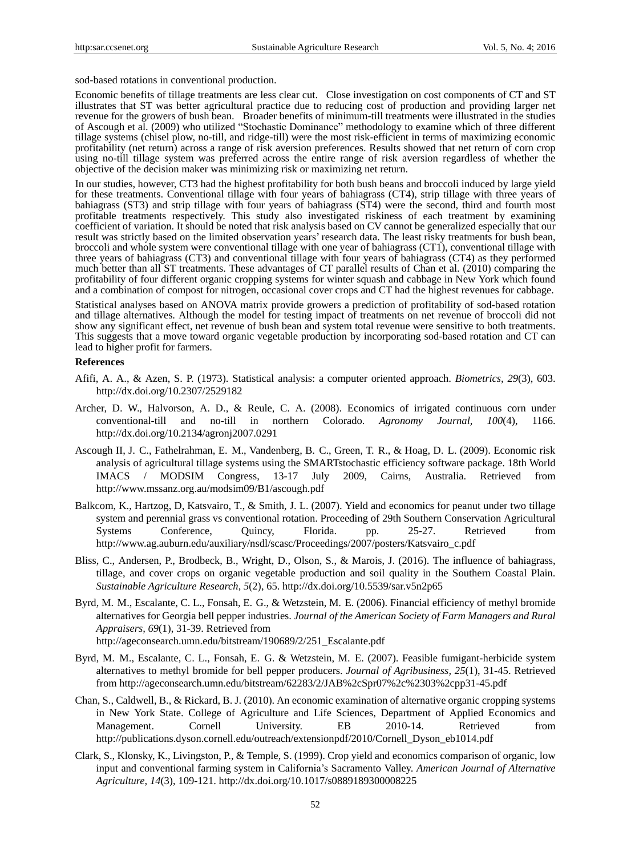sod-based rotations in conventional production.

Economic benefits of tillage treatments are less clear cut. Close investigation on cost components of CT and ST illustrates that ST was better agricultural practice due to reducing cost of production and providing larger net revenue for the growers of bush bean. Broader benefits of minimum-till treatments were illustrated in the studies of Ascough et al. (2009) who utilized "Stochastic Dominance" methodology to examine which of three different tillage systems (chisel plow, no-till, and ridge-till) were the most risk-efficient in terms of maximizing economic profitability (net return) across a range of risk aversion preferences. Results showed that net return of corn crop using no-till tillage system was preferred across the entire range of risk aversion regardless of whether the objective of the decision maker was minimizing risk or maximizing net return.

In our studies, however, CT3 had the highest profitability for both bush beans and broccoli induced by large yield for these treatments. Conventional tillage with four years of bahiagrass (CT4), strip tillage with three years of bahiagrass (ST3) and strip tillage with four years of bahiagrass (ST4) were the second, third and fourth most profitable treatments respectively. This study also investigated riskiness of each treatment by examining coefficient of variation. It should be noted that risk analysis based on CV cannot be generalized especially that our result was strictly based on the limited observation years' research data. The least risky treatments for bush bean, broccoli and whole system were conventional tillage with one year of bahiagrass (CT1), conventional tillage with three years of bahiagrass (CT3) and conventional tillage with four years of bahiagrass (CT4) as they performed much better than all ST treatments. These advantages of CT parallel results of Chan et al. (2010) comparing the profitability of four different organic cropping systems for winter squash and cabbage in New York which found and a combination of compost for nitrogen, occasional cover crops and CT had the highest revenues for cabbage.

Statistical analyses based on ANOVA matrix provide growers a prediction of profitability of sod-based rotation and tillage alternatives. Although the model for testing impact of treatments on net revenue of broccoli did not show any significant effect, net revenue of bush bean and system total revenue were sensitive to both treatments. This suggests that a move toward organic vegetable production by incorporating sod-based rotation and CT can lead to higher profit for farmers.

#### **References**

- Afifi, A. A., & Azen, S. P. (1973). Statistical analysis: a computer oriented approach. *Biometrics, 29*(3), 603. http://dx.doi.org/10.2307/2529182
- Archer, D. W., Halvorson, A. D., & Reule, C. A. (2008). Economics of irrigated continuous corn under conventional-till and no-till in northern Colorado. *Agronomy Journal, 100*(4), 1166. http://dx.doi.org/10.2134/agronj2007.0291
- Ascough II, J. C., Fathelrahman, E. M., Vandenberg, B. C., Green, T. R., & Hoag, D. L. (2009). Economic risk analysis of agricultural tillage systems using the SMARTstochastic efficiency software package. 18th World IMACS / MODSIM Congress, 13-17 July 2009, Cairns, Australia. Retrieved from http://www.mssanz.org.au/modsim09/B1/ascough.pdf
- Balkcom, K., Hartzog, D, Katsvairo, T., & Smith, J. L. (2007). Yield and economics for peanut under two tillage system and perennial grass vs conventional rotation. Proceeding of 29th Southern Conservation Agricultural Systems Conference, Quincy, Florida. pp. 25-27. Retrieved from http://www.ag.auburn.edu/auxiliary/nsdl/scasc/Proceedings/2007/posters/Katsvairo\_c.pdf
- Bliss, C., Andersen, P., Brodbeck, B., Wright, D., Olson, S., & Marois, J. (2016). The influence of bahiagrass, tillage, and cover crops on organic vegetable production and soil quality in the Southern Coastal Plain. *Sustainable Agriculture Research, 5*(2), 65. http://dx.doi.org/10.5539/sar.v5n2p65
- Byrd, M. M., Escalante, C. L., Fonsah, E. G., & Wetzstein, M. E. (2006). Financial efficiency of methyl bromide alternatives for Georgia bell pepper industries. *Journal of the American Society of Farm Managers and Rural Appraisers, 69*(1), 31-39. Retrieved from http://ageconsearch.umn.edu/bitstream/190689/2/251\_Escalante.pdf
- Byrd, M. M., Escalante, C. L., Fonsah, E. G. & Wetzstein, M. E. (2007). Feasible fumigant-herbicide system alternatives to methyl bromide for bell pepper producers. *Journal of Agribusiness, 25*(1), 31-45. Retrieved from http://ageconsearch.umn.edu/bitstream/62283/2/JAB%2cSpr07%2c%2303%2cpp31-45.pdf
- Chan, S., Caldwell, B., & Rickard, B. J. (2010). An economic examination of alternative organic cropping systems in New York State. College of Agriculture and Life Sciences, Department of Applied Economics and Management. Cornell University. EB 2010-14. Retrieved from http://publications.dyson.cornell.edu/outreach/extensionpdf/2010/Cornell\_Dyson\_eb1014.pdf
- Clark, S., Klonsky, K., Livingston, P., & Temple, S. (1999). Crop yield and economics comparison of organic, low input and conventional farming system in California's Sacramento Valley. *American Journal of Alternative Agriculture, 14*(3), 109-121. http://dx.doi.org/10.1017/s0889189300008225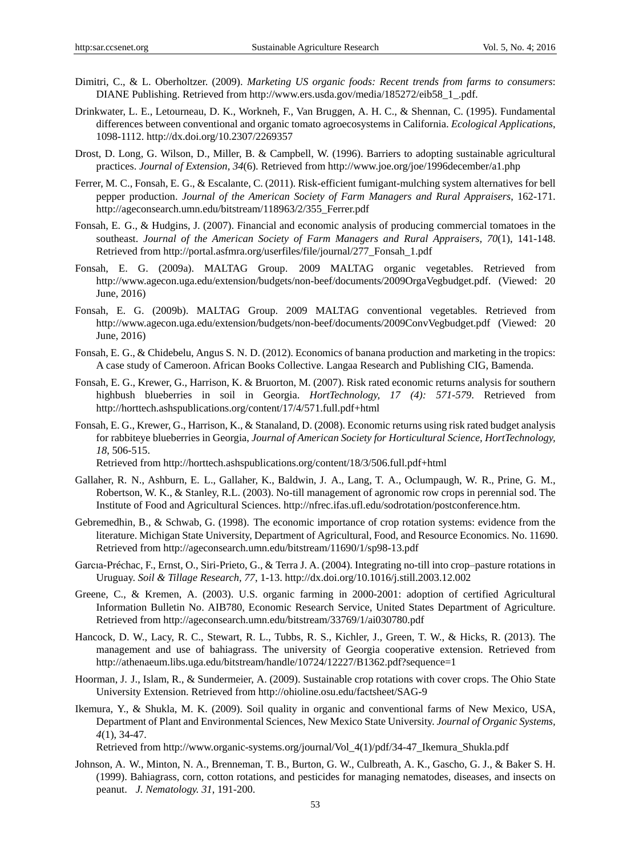- Dimitri, C., & L. Oberholtzer. (2009). *Marketing US organic foods: Recent trends from farms to consumers*: DIANE Publishing. Retrieved from http://www.ers.usda.gov/media/185272/eib58\_1\_.pdf.
- Drinkwater, L. E., Letourneau, D. K., Workneh, F., Van Bruggen, A. H. C., & Shennan, C. (1995). Fundamental differences between conventional and organic tomato agroecosystems in California. *Ecological Applications*, 1098-1112. http://dx.doi.org/10.2307/2269357
- Drost, D. Long, G. Wilson, D., Miller, B. & Campbell, W. (1996). Barriers to adopting sustainable agricultural practices. *Journal of Extension, 34*(6). Retrieved from http://www.joe.org/joe/1996december/a1.php
- Ferrer, M. C., Fonsah, E. G., & Escalante, C. (2011). Risk-efficient fumigant-mulching system alternatives for bell pepper production. *Journal of the American Society of Farm Managers and Rural Appraisers*, 162-171. http://ageconsearch.umn.edu/bitstream/118963/2/355\_Ferrer.pdf
- Fonsah, E. G., & Hudgins, J. (2007). Financial and economic analysis of producing commercial tomatoes in the southeast. *Journal of the American Society of Farm Managers and Rural Appraisers, 70*(1), 141-148. Retrieved from http://portal.asfmra.org/userfiles/file/journal/277\_Fonsah\_1.pdf
- Fonsah, E. G. (2009a). MALTAG Group. 2009 MALTAG organic vegetables. Retrieved from http://www.agecon.uga.edu/extension/budgets/non-beef/documents/2009OrgaVegbudget.pdf. (Viewed: 20 June, 2016)
- Fonsah, E. G. (2009b). MALTAG Group. 2009 MALTAG conventional vegetables. Retrieved from http://www.agecon.uga.edu/extension/budgets/non-beef/documents/2009ConvVegbudget.pdf (Viewed: 20 June, 2016)
- Fonsah, E. G., & Chidebelu, Angus S. N. D. (2012). Economics of banana production and marketing in the tropics: A case study of Cameroon. African Books Collective. Langaa Research and Publishing CIG, Bamenda.
- Fonsah, E. G., Krewer, G., Harrison, K. & Bruorton, M. (2007). Risk rated economic returns analysis for southern highbush blueberries in soil in Georgia. *HortTechnology, 17 (4): 571-579*. Retrieved from http://horttech.ashspublications.org/content/17/4/571.full.pdf+html
- Fonsah, E. G., Krewer, G., Harrison, K., & Stanaland, D. (2008). Economic returns using risk rated budget analysis for rabbiteye blueberries in Georgia, *Journal of American Society for Horticultural Science, HortTechnology, 18*, 506-515.

Retrieved from http://horttech.ashspublications.org/content/18/3/506.full.pdf+html

- Gallaher, R. N., Ashburn, E. L., Gallaher, K., Baldwin, J. A., Lang, T. A., Oclumpaugh, W. R., Prine, G. M., Robertson, W. K., & Stanley, R.L. (2003). No-till management of agronomic row crops in perennial sod. The Institute of Food and Agricultural Sciences. http://nfrec.ifas.ufl.edu/sodrotation/postconference.htm.
- Gebremedhin, B., & Schwab, G. (1998). The economic importance of crop rotation systems: evidence from the literature. Michigan State University, Department of Agricultural, Food, and Resource Economics. No. 11690. Retrieved from http://ageconsearch.umn.edu/bitstream/11690/1/sp98-13.pdf
- Garcıa-Préchac, F., Ernst, O., Siri-Prieto, G., & Terra J. A. (2004). Integrating no-till into crop–pasture rotations in Uruguay. *Soil & Tillage Research, 77*, 1-13. http://dx.doi.org/10.1016/j.still.2003.12.002
- Greene, C., & Kremen, A. (2003). U.S. organic farming in 2000-2001: adoption of certified Agricultural Information Bulletin No. AIB780, Economic Research Service, United States Department of Agriculture. Retrieved from http://ageconsearch.umn.edu/bitstream/33769/1/ai030780.pdf
- Hancock, D. W., Lacy, R. C., Stewart, R. L., Tubbs, R. S., Kichler, J., Green, T. W., & Hicks, R. (2013). The management and use of bahiagrass. The university of Georgia cooperative extension. Retrieved from http://athenaeum.libs.uga.edu/bitstream/handle/10724/12227/B1362.pdf?sequence=1
- Hoorman, J. J., Islam, R., & Sundermeier, A. (2009). Sustainable crop rotations with cover crops. The Ohio State University Extension. Retrieved from http://ohioline.osu.edu/factsheet/SAG-9
- Ikemura, Y., & Shukla, M. K. (2009). Soil quality in organic and conventional farms of New Mexico, USA, Department of Plant and Environmental Sciences, New Mexico State University. *Journal of Organic Systems, 4*(1), 34-47.

Retrieved from http://www.organic-systems.org/journal/Vol\_4(1)/pdf/34-47\_Ikemura\_Shukla.pdf

Johnson, A. W., Minton, N. A., Brenneman, T. B., Burton, G. W., Culbreath, A. K., Gascho, G. J., & Baker S. H. (1999). Bahiagrass, corn, cotton rotations, and pesticides for managing nematodes, diseases, and insects on peanut. *J. Nematology. 31*, 191-200.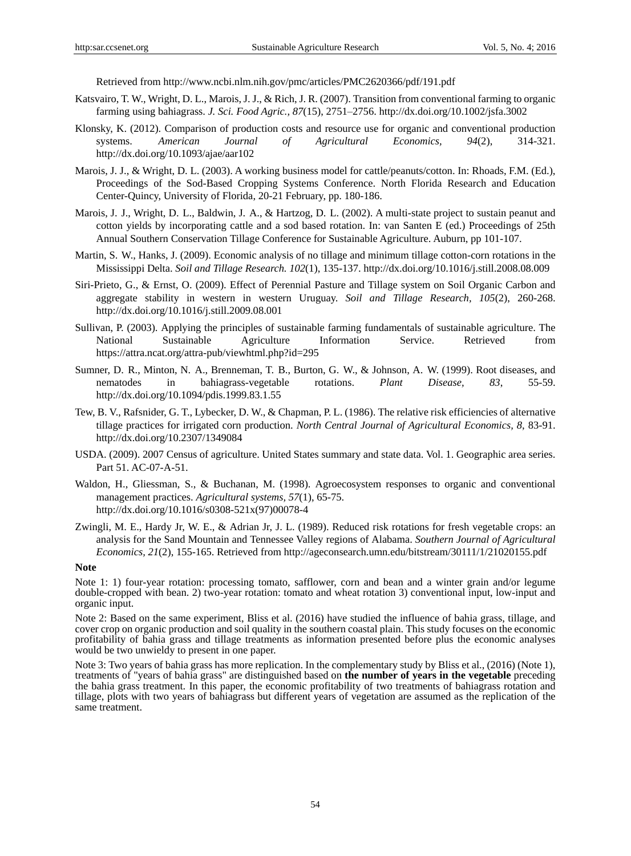Retrieved from http://www.ncbi.nlm.nih.gov/pmc/articles/PMC2620366/pdf/191.pdf

- Katsvairo, T. W., Wright, D. L., Marois, J. J., & Rich, J. R. (2007). Transition from conventional farming to organic farming using bahiagrass. *J. Sci. Food Agric., 87*(15), 2751–2756. http://dx.doi.org/10.1002/jsfa.3002
- Klonsky, K. (2012). Comparison of production costs and resource use for organic and conventional production systems. *American Journal of Agricultural Economics, 94*(2), 314-321. http://dx.doi.org/10.1093/ajae/aar102
- Marois, J. J., & Wright, D. L. (2003). A working business model for cattle/peanuts/cotton. In: Rhoads, F.M. (Ed.), Proceedings of the Sod-Based Cropping Systems Conference. North Florida Research and Education Center-Quincy, University of Florida, 20-21 February, pp. 180-186.
- Marois, J. J., Wright, D. L., Baldwin, J. A., & Hartzog, D. L. (2002). A multi-state project to sustain peanut and cotton yields by incorporating cattle and a sod based rotation. In: van Santen E (ed.) Proceedings of 25th Annual Southern Conservation Tillage Conference for Sustainable Agriculture. Auburn, pp 101-107.
- Martin, S. W., Hanks, J. (2009). Economic analysis of no tillage and minimum tillage cotton-corn rotations in the Mississippi Delta. *Soil and Tillage Research. 102*(1), 135-137. http://dx.doi.org/10.1016/j.still.2008.08.009
- Siri-Prieto, G., & Ernst, O. (2009). Effect of Perennial Pasture and Tillage system on Soil Organic Carbon and aggregate stability in western in western Uruguay. *Soil and Tillage Research, 105*(2), 260-268. http://dx.doi.org/10.1016/j.still.2009.08.001
- Sullivan, P. (2003). Applying the principles of sustainable farming fundamentals of sustainable agriculture. The National Sustainable Agriculture Information Service. Retrieved from https://attra.ncat.org/attra-pub/viewhtml.php?id=295
- Sumner, D. R., Minton, N. A., Brenneman, T. B., Burton, G. W., & Johnson, A. W. (1999). Root diseases, and nematodes in bahiagrass-vegetable rotations. *Plant Disease, 83*, 55-59. http://dx.doi.org/10.1094/pdis.1999.83.1.55
- Tew, B. V., Rafsnider, G. T., Lybecker, D. W., & Chapman, P. L. (1986). The relative risk efficiencies of alternative tillage practices for irrigated corn production. *North Central Journal of Agricultural Economics, 8*, 83-91. http://dx.doi.org/10.2307/1349084
- USDA. (2009). 2007 Census of agriculture. United States summary and state data. Vol. 1. Geographic area series. Part 51. AC-07-A-51.
- Waldon, H., Gliessman, S., & Buchanan, M. (1998). Agroecosystem responses to organic and conventional management practices. *Agricultural systems, 57*(1), 65-75. http://dx.doi.org/10.1016/s0308-521x(97)00078-4
- Zwingli, M. E., Hardy Jr, W. E., & Adrian Jr, J. L. (1989). Reduced risk rotations for fresh vegetable crops: an analysis for the Sand Mountain and Tennessee Valley regions of Alabama. *Southern Journal of Agricultural Economics, 21*(2), 155-165. Retrieved from http://ageconsearch.umn.edu/bitstream/30111/1/21020155.pdf

#### **Note**

Note 1: 1) four-year rotation: processing tomato, safflower, corn and bean and a winter grain and/or legume double-cropped with bean. 2) two-year rotation: tomato and wheat rotation 3) conventional input, low-input and organic input.

Note 2: Based on the same experiment, Bliss et al. (2016) have studied the influence of bahia grass, tillage, and cover crop on organic production and soil quality in the southern coastal plain. This study focuses on the economic profitability of bahia grass and tillage treatments as information presented before plus the economic analyses would be two unwieldy to present in one paper.

Note 3: Two years of bahia grass has more replication. In the complementary study by Bliss et al., (2016) (Note 1), treatments of "years of bahia grass" are distinguished based on **the number of years in the vegetable** preceding the bahia grass treatment. In this paper, the economic profitability of two treatments of bahiagrass rotation and tillage, plots with two years of bahiagrass but different years of vegetation are assumed as the replication of the same treatment.